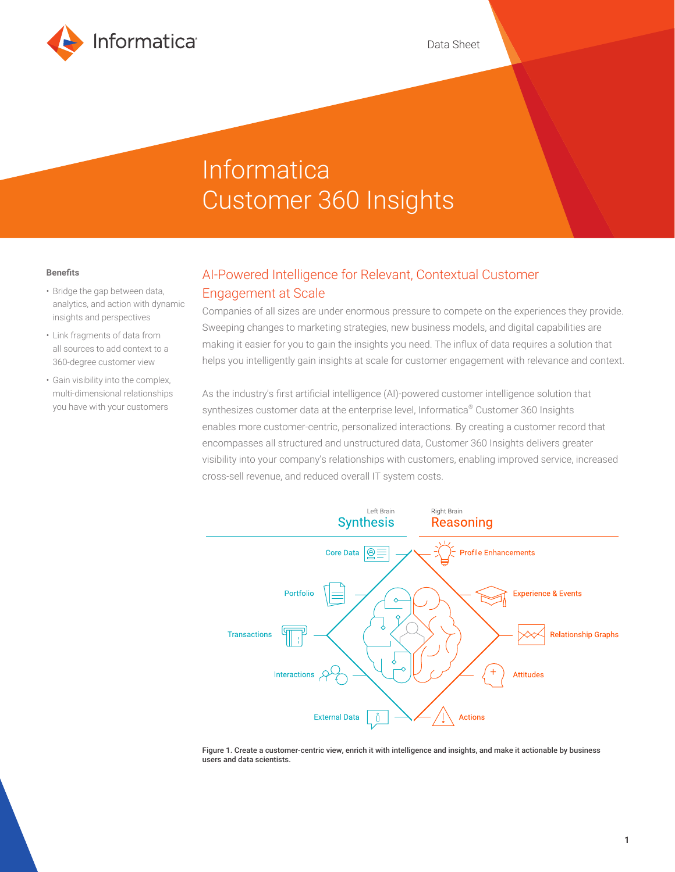

# Informatica Customer 360 Insights

#### **Benefits**

- Bridge the gap between data, analytics, and action with dynamic insights and perspectives
- Link fragments of data from all sources to add context to a 360-degree customer view
- Gain visibility into the complex, multi-dimensional relationships you have with your customers

# AI-Powered Intelligence for Relevant, Contextual Customer Engagement at Scale

Companies of all sizes are under enormous pressure to compete on the experiences they provide. Sweeping changes to marketing strategies, new business models, and digital capabilities are making it easier for you to gain the insights you need. The influx of data requires a solution that helps you intelligently gain insights at scale for customer engagement with relevance and context.

As the industry's first artificial intelligence (AI)-powered customer intelligence solution that synthesizes customer data at the enterprise level, Informatica® Customer 360 Insights enables more customer-centric, personalized interactions. By creating a customer record that encompasses all structured and unstructured data, Customer 360 Insights delivers greater visibility into your company's relationships with customers, enabling improved service, increased cross-sell revenue, and reduced overall IT system costs.



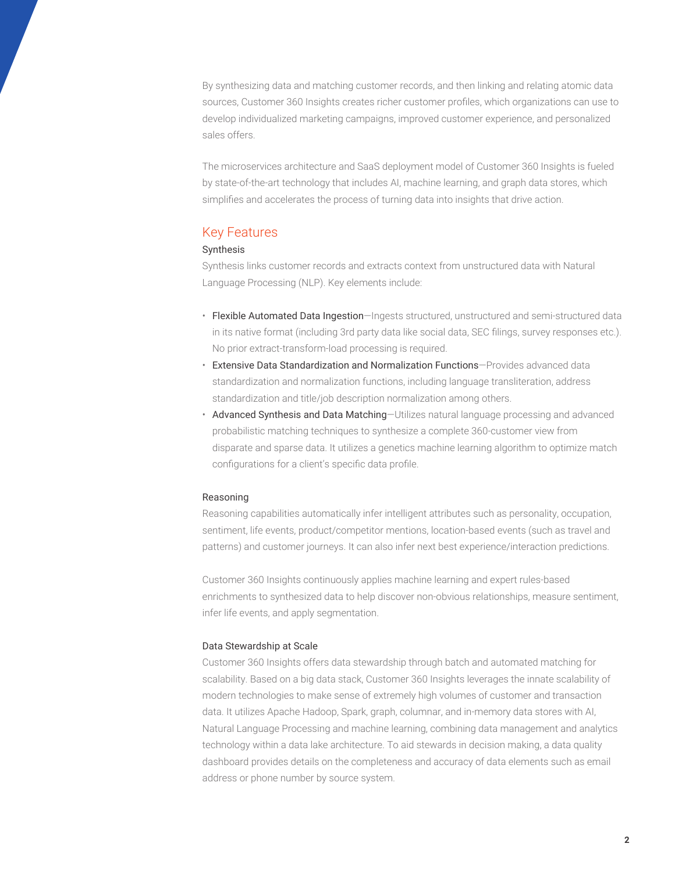By synthesizing data and matching customer records, and then linking and relating atomic data sources, Customer 360 Insights creates richer customer profiles, which organizations can use to develop individualized marketing campaigns, improved customer experience, and personalized sales offers.

The microservices architecture and SaaS deployment model of Customer 360 Insights is fueled by state-of-the-art technology that includes AI, machine learning, and graph data stores, which simplifies and accelerates the process of turning data into insights that drive action.

### Key Features

#### Synthesis

Synthesis links customer records and extracts context from unstructured data with Natural Language Processing (NLP). Key elements include:

- Flexible Automated Data Ingestion-Ingests structured, unstructured and semi-structured data in its native format (including 3rd party data like social data, SEC filings, survey responses etc.). No prior extract-transform-load processing is required.
- Extensive Data Standardization and Normalization Functions—Provides advanced data standardization and normalization functions, including language transliteration, address standardization and title/job description normalization among others.
- Advanced Synthesis and Data Matching—Utilizes natural language processing and advanced probabilistic matching techniques to synthesize a complete 360-customer view from disparate and sparse data. It utilizes a genetics machine learning algorithm to optimize match configurations for a client's specific data profile.

#### Reasoning

Reasoning capabilities automatically infer intelligent attributes such as personality, occupation, sentiment, life events, product/competitor mentions, location-based events (such as travel and patterns) and customer journeys. It can also infer next best experience/interaction predictions.

Customer 360 Insights continuously applies machine learning and expert rules-based enrichments to synthesized data to help discover non-obvious relationships, measure sentiment, infer life events, and apply segmentation.

#### Data Stewardship at Scale

Customer 360 Insights offers data stewardship through batch and automated matching for scalability. Based on a big data stack, Customer 360 Insights leverages the innate scalability of modern technologies to make sense of extremely high volumes of customer and transaction data. It utilizes Apache Hadoop, Spark, graph, columnar, and in-memory data stores with AI, Natural Language Processing and machine learning, combining data management and analytics technology within a data lake architecture. To aid stewards in decision making, a data quality dashboard provides details on the completeness and accuracy of data elements such as email address or phone number by source system.